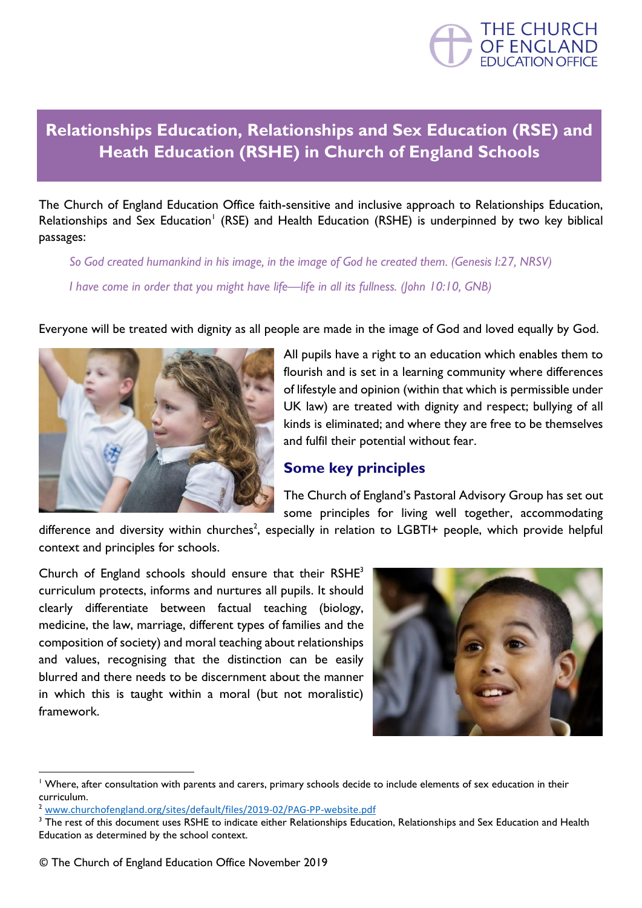

## **Relationships Education, Relationships and Sex Education (RSE) and Heath Education (RSHE) in Church of England Schools**

The Church of England Education Office faith-sensitive and inclusive approach to Relationships Education, Relationships and Sex Education<sup>1</sup> (RSE) and Health Education (RSHE) is underpinned by two key biblical passages:

*So God created humankind in his image, in the image of God he created them. (Genesis I:27, NRSV) I have come in order that you might have life—life in all its fullness. (John 10:10, GNB)*

Everyone will be treated with dignity as all people are made in the image of God and loved equally by God.



All pupils have a right to an education which enables them to flourish and is set in a learning community where differences of lifestyle and opinion (within that which is permissible under UK law) are treated with dignity and respect; bullying of all kinds is eliminated; and where they are free to be themselves and fulfil their potential without fear.

## **Some key principles**

The Church of England's Pastoral Advisory Group has set out some principles for living well together, accommodating

difference and diversity within churches<sup>2</sup>, especially in relation to LGBTI+ people, which provide helpful context and principles for schools.

Church of England schools should ensure that their RSHE<sup>3</sup> curriculum protects, informs and nurtures all pupils. It should clearly differentiate between factual teaching (biology, medicine, the law, marriage, different types of families and the composition of society) and moral teaching about relationships and values, recognising that the distinction can be easily blurred and there needs to be discernment about the manner in which this is taught within a moral (but not moralistic) framework.



<sup>&</sup>lt;sup>1</sup> Where, after consultation with parents and carers, primary schools decide to include elements of sex education in their curriculum.

<sup>2</sup> [www.churchofengland.org/sites/default/files/2019-02/PAG-PP-website.pdf](http://www.churchofengland.org/sites/default/files/2019-02/PAG-PP-website.pdf)

<sup>&</sup>lt;sup>3</sup> The rest of this document uses RSHE to indicate either Relationships Education, Relationships and Sex Education and Health Education as determined by the school context.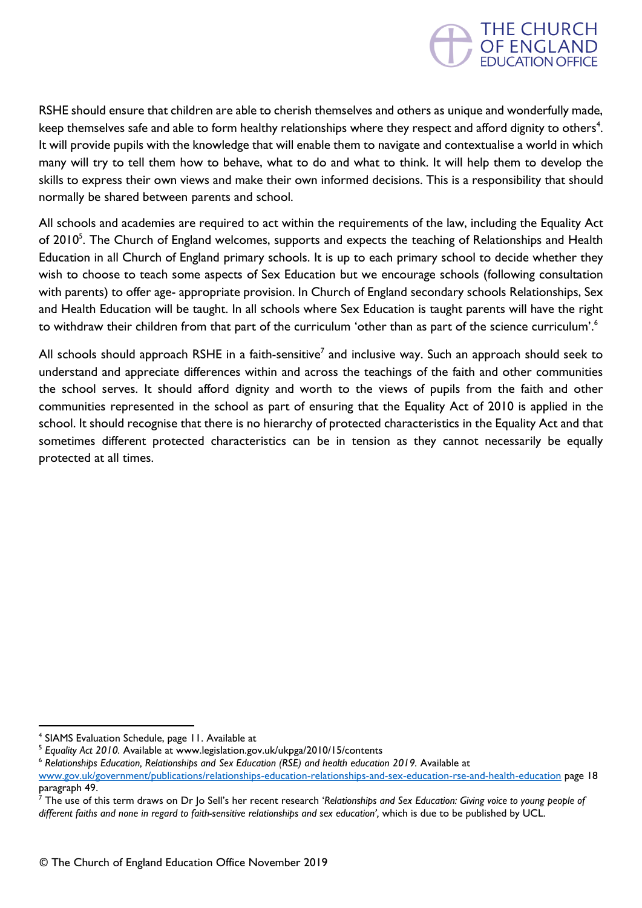

RSHE should ensure that children are able to cherish themselves and others as unique and wonderfully made, keep themselves safe and able to form healthy relationships where they respect and afford dignity to others<sup>4</sup>. It will provide pupils with the knowledge that will enable them to navigate and contextualise a world in which many will try to tell them how to behave, what to do and what to think. It will help them to develop the skills to express their own views and make their own informed decisions. This is a responsibility that should normally be shared between parents and school.

All schools and academies are required to act within the requirements of the law, including the Equality Act of 2010<sup>5</sup>. The Church of England welcomes, supports and expects the teaching of Relationships and Health Education in all Church of England primary schools. It is up to each primary school to decide whether they wish to choose to teach some aspects of Sex Education but we encourage schools (following consultation with parents) to offer age- appropriate provision. In Church of England secondary schools Relationships, Sex and Health Education will be taught. In all schools where Sex Education is taught parents will have the right to withdraw their children from that part of the curriculum 'other than as part of the science curriculum'.<sup>6</sup>

All schools should approach RSHE in a faith-sensitive<sup>7</sup> and inclusive way. Such an approach should seek to understand and appreciate differences within and across the teachings of the faith and other communities the school serves. It should afford dignity and worth to the views of pupils from the faith and other communities represented in the school as part of ensuring that the Equality Act of 2010 is applied in the school. It should recognise that there is no hierarchy of protected characteristics in the Equality Act and that sometimes different protected characteristics can be in tension as they cannot necessarily be equally protected at all times.

<sup>4</sup> SIAMS Evaluation Schedule, page 11. Available at

<sup>&</sup>lt;sup>5</sup> Equality Act 2010. Available at www.legislation.gov.uk/ukpga/2010/15/contents

<sup>6</sup> *Relationships Education, Relationships and Sex Education (RSE) and health education 2019.* Available at

[www.gov.uk/government/publications/relationships-education-relationships-and-sex-education-rse-and-health-education](https://www.gov.uk/government/publications/relationships-education-relationships-and-sex-education-rse-and-health-education) page 18 paragraph 49.

<sup>7</sup> The use of this term draws on Dr Jo Sell's her recent research '*Relationships and Sex Education: Giving voice to young people of different faiths and none in regard to faith-sensitive relationships and sex education',* which is due to be published by UCL.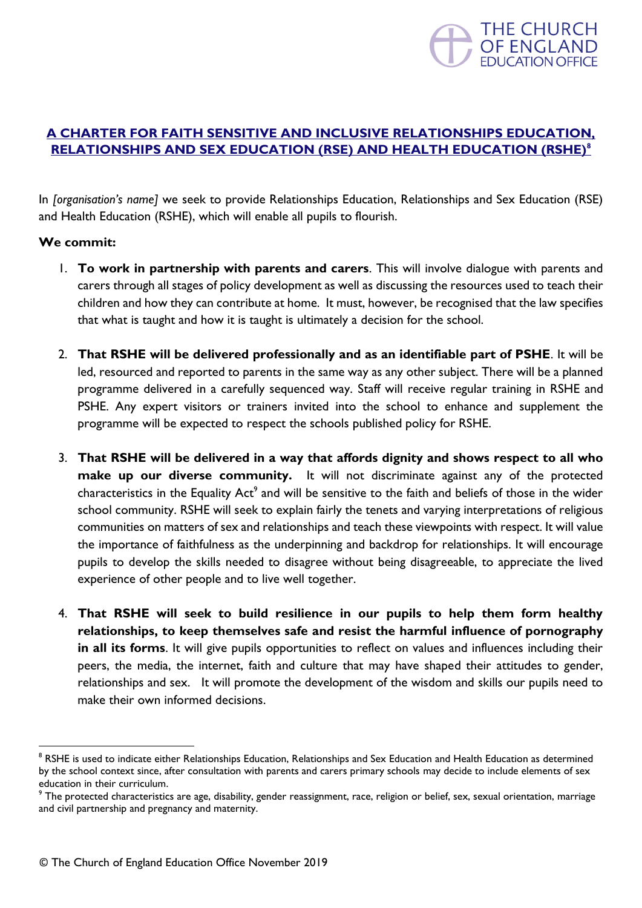

## **A CHARTER FOR FAITH SENSITIVE AND INCLUSIVE RELATIONSHIPS EDUCATION, RELATIONSHIPS AND SEX EDUCATION (RSE) AND HEALTH EDUCATION (RSHE)<sup>8</sup>**

In *[organisation's name]* we seek to provide Relationships Education, Relationships and Sex Education (RSE) and Health Education (RSHE), which will enable all pupils to flourish.

## **We commit:**

- 1. **To work in partnership with parents and carers**. This will involve dialogue with parents and carers through all stages of policy development as well as discussing the resources used to teach their children and how they can contribute at home. It must, however, be recognised that the law specifies that what is taught and how it is taught is ultimately a decision for the school.
- 2. **That RSHE will be delivered professionally and as an identifiable part of PSHE**. It will be led, resourced and reported to parents in the same way as any other subject. There will be a planned programme delivered in a carefully sequenced way. Staff will receive regular training in RSHE and PSHE. Any expert visitors or trainers invited into the school to enhance and supplement the programme will be expected to respect the schools published policy for RSHE.
- 3. **That RSHE will be delivered in a way that affords dignity and shows respect to all who make up our diverse community.** It will not discriminate against any of the protected characteristics in the Equality Act<sup>9</sup> and will be sensitive to the faith and beliefs of those in the wider school community. RSHE will seek to explain fairly the tenets and varying interpretations of religious communities on matters of sex and relationships and teach these viewpoints with respect. It will value the importance of faithfulness as the underpinning and backdrop for relationships. It will encourage pupils to develop the skills needed to disagree without being disagreeable, to appreciate the lived experience of other people and to live well together.
- 4. **That RSHE will seek to build resilience in our pupils to help them form healthy relationships, to keep themselves safe and resist the harmful influence of pornography in all its forms**. It will give pupils opportunities to reflect on values and influences including their peers, the media, the internet, faith and culture that may have shaped their attitudes to gender, relationships and sex. It will promote the development of the wisdom and skills our pupils need to make their own informed decisions.

<sup>&</sup>lt;sup>8</sup> RSHE is used to indicate either Relationships Education, Relationships and Sex Education and Health Education as determined by the school context since, after consultation with parents and carers primary schools may decide to include elements of sex education in their curriculum.

<sup>&</sup>lt;sup>9</sup> The protected characteristics are age, disability, gender reassignment, race, religion or belief, sex, sexual orientation, marriage and civil partnership and pregnancy and maternity.